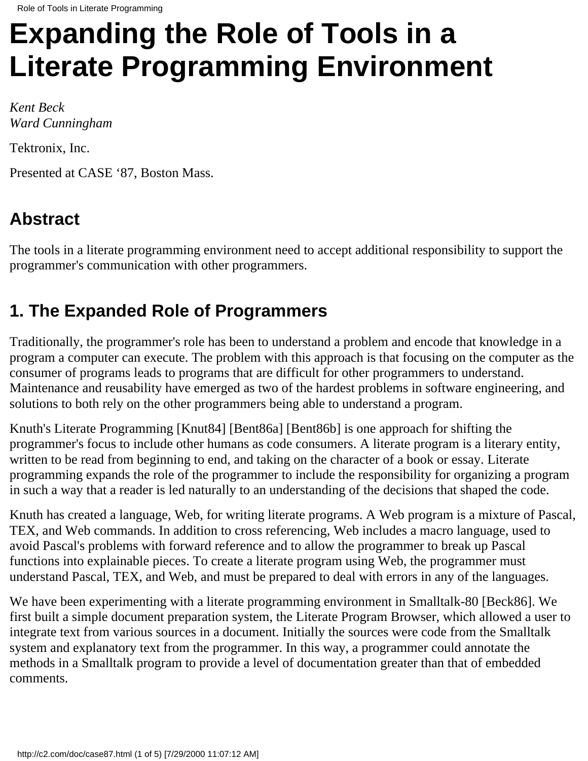# **Expanding the Role of Tools in a Literate Programming Environment**

*Kent Beck Ward Cunningham*

Tektronix, Inc.

Presented at CASE '87, Boston Mass.

# **Abstract**

The tools in a literate programming environment need to accept additional responsibility to support the programmer's communication with other programmers.

## **1. The Expanded Role of Programmers**

Traditionally, the programmer's role has been to understand a problem and encode that knowledge in a program a computer can execute. The problem with this approach is that focusing on the computer as the consumer of programs leads to programs that are difficult for other programmers to understand. Maintenance and reusability have emerged as two of the hardest problems in software engineering, and solutions to both rely on the other programmers being able to understand a program.

Knuth's Literate Programming [Knut84] [Bent86a] [Bent86b] is one approach for shifting the programmer's focus to include other humans as code consumers. A literate program is a literary entity, written to be read from beginning to end, and taking on the character of a book or essay. Literate programming expands the role of the programmer to include the responsibility for organizing a program in such a way that a reader is led naturally to an understanding of the decisions that shaped the code.

Knuth has created a language, Web, for writing literate programs. A Web program is a mixture of Pascal, TEX, and Web commands. In addition to cross referencing, Web includes a macro language, used to avoid Pascal's problems with forward reference and to allow the programmer to break up Pascal functions into explainable pieces. To create a literate program using Web, the programmer must understand Pascal, TEX, and Web, and must be prepared to deal with errors in any of the languages.

We have been experimenting with a literate programming environment in Smalltalk-80 [Beck86]. We first built a simple document preparation system, the Literate Program Browser, which allowed a user to integrate text from various sources in a document. Initially the sources were code from the Smalltalk system and explanatory text from the programmer. In this way, a programmer could annotate the methods in a Smalltalk program to provide a level of documentation greater than that of embedded comments.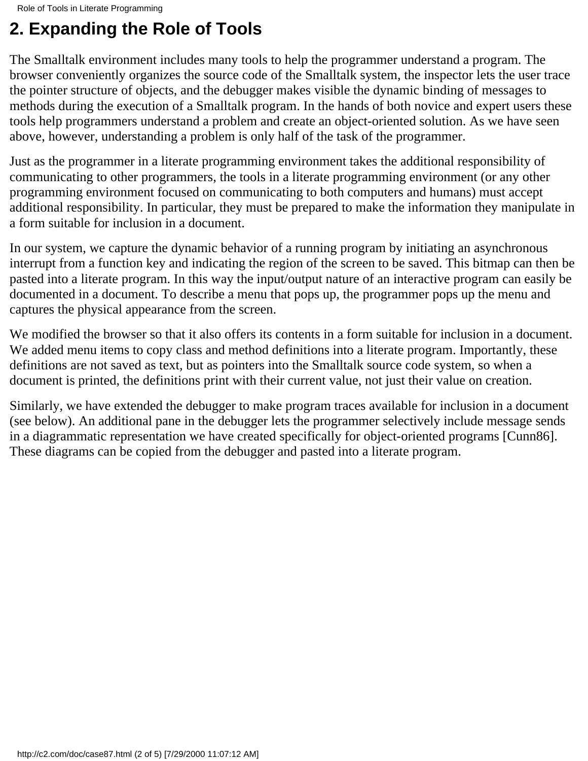# **2. Expanding the Role of Tools**

The Smalltalk environment includes many tools to help the programmer understand a program. The browser conveniently organizes the source code of the Smalltalk system, the inspector lets the user trace the pointer structure of objects, and the debugger makes visible the dynamic binding of messages to methods during the execution of a Smalltalk program. In the hands of both novice and expert users these tools help programmers understand a problem and create an object-oriented solution. As we have seen above, however, understanding a problem is only half of the task of the programmer.

Just as the programmer in a literate programming environment takes the additional responsibility of communicating to other programmers, the tools in a literate programming environment (or any other programming environment focused on communicating to both computers and humans) must accept additional responsibility. In particular, they must be prepared to make the information they manipulate in a form suitable for inclusion in a document.

In our system, we capture the dynamic behavior of a running program by initiating an asynchronous interrupt from a function key and indicating the region of the screen to be saved. This bitmap can then be pasted into a literate program. In this way the input/output nature of an interactive program can easily be documented in a document. To describe a menu that pops up, the programmer pops up the menu and captures the physical appearance from the screen.

We modified the browser so that it also offers its contents in a form suitable for inclusion in a document. We added menu items to copy class and method definitions into a literate program. Importantly, these definitions are not saved as text, but as pointers into the Smalltalk source code system, so when a document is printed, the definitions print with their current value, not just their value on creation.

Similarly, we have extended the debugger to make program traces available for inclusion in a document (see below). An additional pane in the debugger lets the programmer selectively include message sends in a diagrammatic representation we have created specifically for object-oriented programs [Cunn86]. These diagrams can be copied from the debugger and pasted into a literate program.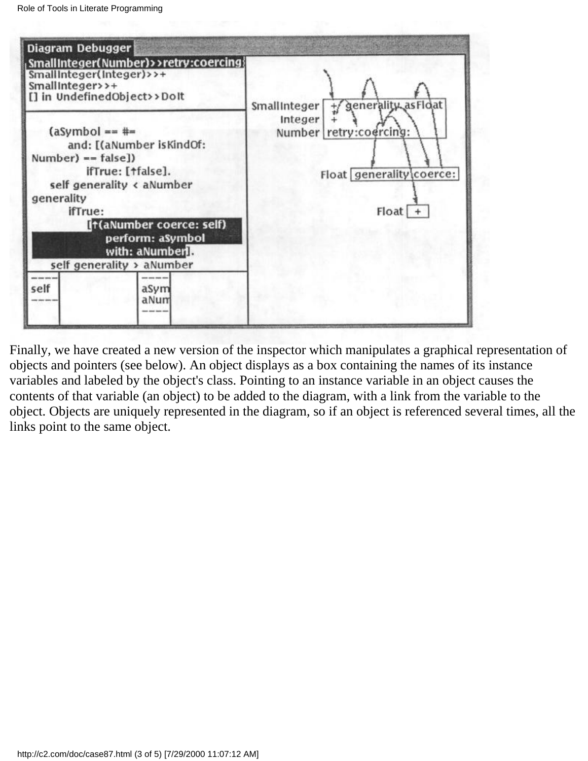

Finally, we have created a new version of the inspector which manipulates a graphical representation of objects and pointers (see below). An object displays as a box containing the names of its instance variables and labeled by the object's class. Pointing to an instance variable in an object causes the contents of that variable (an object) to be added to the diagram, with a link from the variable to the object. Objects are uniquely represented in the diagram, so if an object is referenced several times, all the links point to the same object.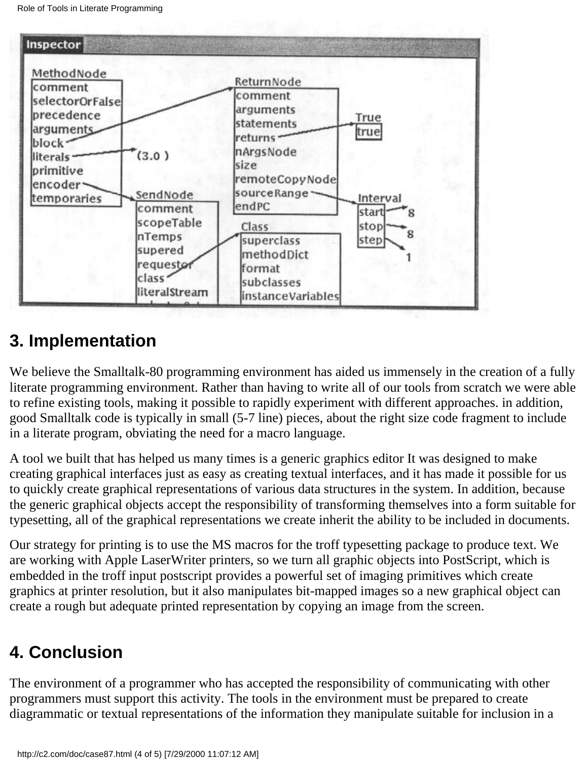

#### **3. Implementation**

We believe the Smalltalk-80 programming environment has aided us immensely in the creation of a fully literate programming environment. Rather than having to write all of our tools from scratch we were able to refine existing tools, making it possible to rapidly experiment with different approaches. in addition, good Smalltalk code is typically in small (5-7 line) pieces, about the right size code fragment to include in a literate program, obviating the need for a macro language.

A tool we built that has helped us many times is a generic graphics editor It was designed to make creating graphical interfaces just as easy as creating textual interfaces, and it has made it possible for us to quickly create graphical representations of various data structures in the system. In addition, because the generic graphical objects accept the responsibility of transforming themselves into a form suitable for typesetting, all of the graphical representations we create inherit the ability to be included in documents.

Our strategy for printing is to use the MS macros for the troff typesetting package to produce text. We are working with Apple LaserWriter printers, so we turn all graphic objects into PostScript, which is embedded in the troff input postscript provides a powerful set of imaging primitives which create graphics at printer resolution, but it also manipulates bit-mapped images so a new graphical object can create a rough but adequate printed representation by copying an image from the screen.

## **4. Conclusion**

The environment of a programmer who has accepted the responsibility of communicating with other programmers must support this activity. The tools in the environment must be prepared to create diagrammatic or textual representations of the information they manipulate suitable for inclusion in a